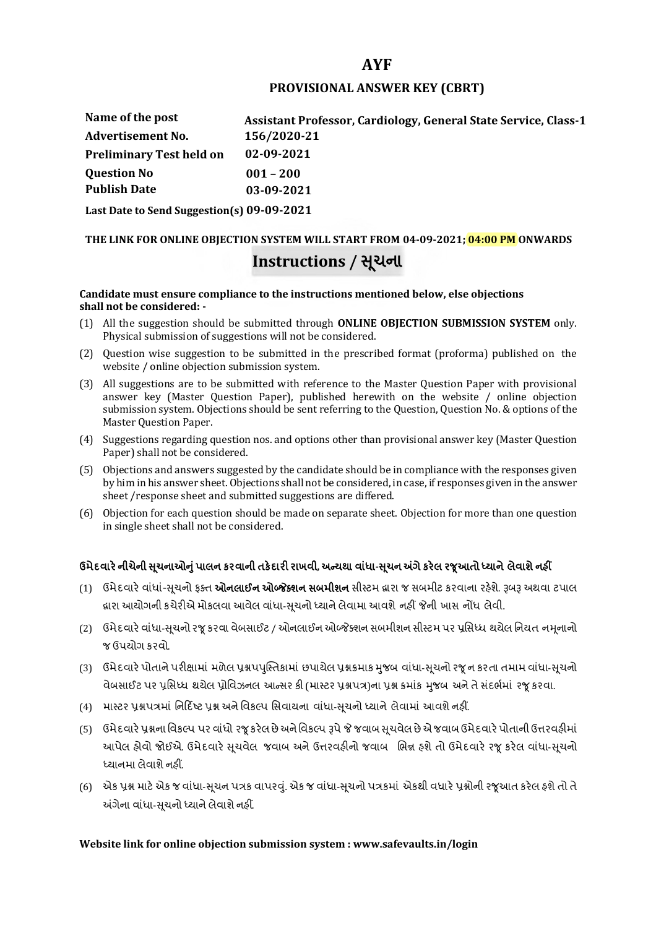# **AYF**

## **PROVISIONAL ANSWER KEY (CBRT)**

| Name of the post                | Assistant Professor, Cardiology, General State Service, Class-1 |
|---------------------------------|-----------------------------------------------------------------|
| <b>Advertisement No.</b>        | 156/2020-21                                                     |
| <b>Preliminary Test held on</b> | 02-09-2021                                                      |
| <b>Question No</b>              | $001 - 200$                                                     |
| <b>Publish Date</b>             | 03-09-2021                                                      |
|                                 |                                                                 |

**Last Date to Send Suggestion(s) 09-09-2021**

# **THE LINK FOR ONLINE OBJECTION SYSTEM WILL START FROM 04-09-2021; 04:00 PM ONWARDS Instructions / Ʌચના ૂ**

#### **Candidate must ensure compliance to the instructions mentioned below, else objections shall not be considered: -**

- (1) All the suggestion should be submitted through **ONLINE OBJECTION SUBMISSION SYSTEM** only. Physical submission of suggestions will not be considered.
- (2) Question wise suggestion to be submitted in the prescribed format (proforma) published on the website / online objection submission system.
- (3) All suggestions are to be submitted with reference to the Master Question Paper with provisional answer key (Master Question Paper), published herewith on the website / online objection submission system. Objections should be sent referring to the Question, Question No. & options of the Master Question Paper.
- (4) Suggestions regarding question nos. and options other than provisional answer key (Master Question Paper) shall not be considered.
- (5) Objections and answers suggested by the candidate should be in compliance with the responses given by him in his answer sheet. Objections shall not be considered, in case, if responses given in the answer sheet /response sheet and submitted suggestions are differed.
- (6) Objection for each question should be made on separate sheet. Objection for more than one question in single sheet shall not be considered.

# **ઉમેદવાર°નીચેની Ʌ ૂચનાઓȵુંપાલન કરવાની તક°દાર રાખવી, અƛયથા વા ંધા-Ʌ ૂચન Ӕગેકર°લ રȩૂઆતો ƚયાને લેવાશેનહӄ**

- (1) ઉમેદવારે વાંધાં-સુચનો ફક્ત **ઓનલાઈન ઓબ્જેક્શન સબમીશન** સીસ્ટમ હ્રારા જ સબમીટ કરવાના રહેશે. રૂબરૂ અથવા ટપાલ હ્રારા આયોગની કચેરીએ મોકલવા આવેલ વાંધા-સૂચનો ધ્યાને લેવામા આવશે નહીં જેની ખાસ નોંધ લેવી.
- (2) ઉમેદવારે વાંધા-સચનો રજ કરવા વેબસાઈટ / ઓનલાઈન ઓબ્જેક્શન સબમીશન સીસ્ટમ પર પ્રસિધ્ધ થયેલ નિયત નમનાનો જ ઉપયોગ કરવો.
- (3) ઉમેદવારે પોતાને પરીક્ષામાં મળેલ પ્રશ્નપપુસ્તિકામાં છપાયેલ પ્રશ્નક્રમાક મુજબ વાંધા-સૂચનો રજૂન કરતા તમામ વાંધા-સૂચનો વેબસાઈટ પર પ્રસિધ્ધ થયેલ પ્રોવિઝનલ આન્સર કી (માસ્ટર પ્રશ્નપત્ર)ના પ્રશ્ન ક્રમાંક મજબ અને તે સંદર્ભમાં ૨જ કરવા.
- (4) માસ્ટર પ્રશ્નપત્રમાં નિર્દિષ્ટ પ્રશ્ન અને વિકલ્પ સિવાયના વાંધા-સચનો ધ્યાને લેવામાં આવશે નહીં.
- (5) ઉમેદવારે પ્રશ્નના વિકલ્પ પર વાંધો રજૂ કરેલ છે અને વિકલ્પ રૂપે જે જવાબ સુચવેલ છે એ જવાબ ઉમેદવારે પોતાની ઉત્તરવહીમાં આપેલ હોવો જોઈએ. ઉમેદવારે સૂચવેલ જવાબ અને ઉત્તરવહીનો જવાબ ભિન્ન હશે તો ઉમેદવારે રજૂ કરેલ વાંધા-સૂચનો ધ્યાનમા લેવાશે નહીં.
- (6) એક પ્રશ્ન માટે એક જ વાંધા-સૂચન પત્રક વાપરવું. એક જ વાંધા-સૂચનો પત્રકમાં એકથી વધારે પ્રશ્નોની રજૂઆત કરેલ હશે તો તે અંગેના વાંધા-સુચનો ધ્યાને લેવાશે નહીં.

### **Website link for online objection submission system : www.safevaults.in/login**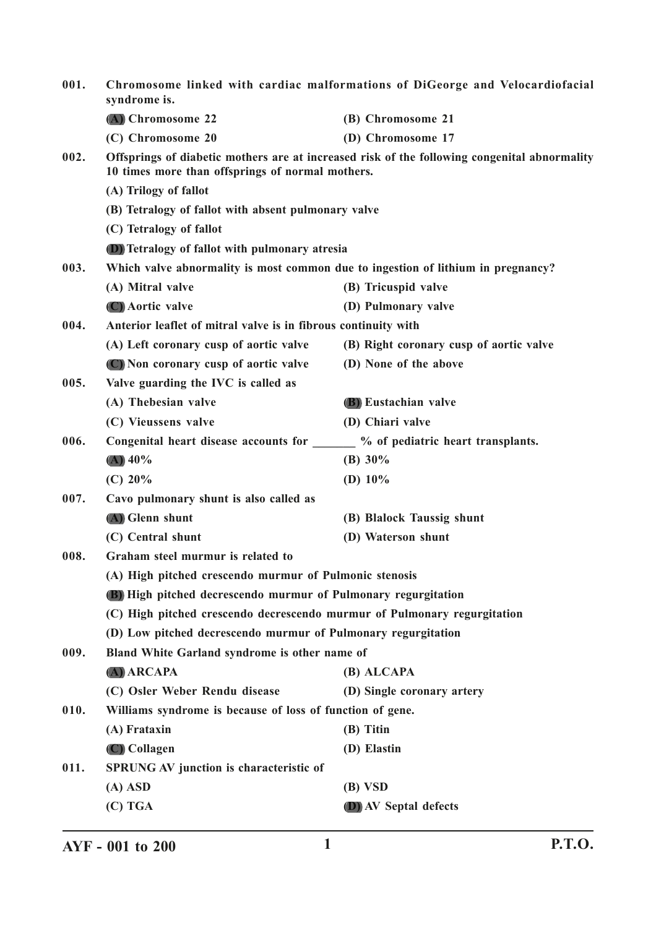| 001. | Chromosome linked with cardiac malformations of DiGeorge and Velocardiofacial<br>syndrome is.                                                                                                                                                                         |                                                                                              |
|------|-----------------------------------------------------------------------------------------------------------------------------------------------------------------------------------------------------------------------------------------------------------------------|----------------------------------------------------------------------------------------------|
|      | (A) Chromosome 22                                                                                                                                                                                                                                                     | (B) Chromosome 21                                                                            |
|      | (C) Chromosome 20                                                                                                                                                                                                                                                     | (D) Chromosome 17                                                                            |
| 002. | 10 times more than offsprings of normal mothers.                                                                                                                                                                                                                      | Offsprings of diabetic mothers are at increased risk of the following congenital abnormality |
|      | (A) Trilogy of fallot                                                                                                                                                                                                                                                 |                                                                                              |
|      | (B) Tetralogy of fallot with absent pulmonary valve                                                                                                                                                                                                                   |                                                                                              |
|      | (C) Tetralogy of fallot                                                                                                                                                                                                                                               |                                                                                              |
|      | (D) Tetralogy of fallot with pulmonary atresia                                                                                                                                                                                                                        |                                                                                              |
| 003. | Which valve abnormality is most common due to ingestion of lithium in pregnancy?                                                                                                                                                                                      |                                                                                              |
|      | (A) Mitral valve                                                                                                                                                                                                                                                      | (B) Tricuspid valve                                                                          |
|      | (C) Aortic valve                                                                                                                                                                                                                                                      | (D) Pulmonary valve                                                                          |
| 004. | Anterior leaflet of mitral valve is in fibrous continuity with                                                                                                                                                                                                        |                                                                                              |
|      | (A) Left coronary cusp of aortic valve                                                                                                                                                                                                                                | (B) Right coronary cusp of aortic valve                                                      |
|      | (C) Non coronary cusp of aortic valve                                                                                                                                                                                                                                 | (D) None of the above                                                                        |
| 005. | Valve guarding the IVC is called as                                                                                                                                                                                                                                   |                                                                                              |
|      | (A) Thebesian valve                                                                                                                                                                                                                                                   | (B) Eustachian valve                                                                         |
|      | (C) Vieussens valve                                                                                                                                                                                                                                                   | (D) Chiari valve                                                                             |
| 006. | Congenital heart disease accounts for ______ % of pediatric heart transplants.                                                                                                                                                                                        |                                                                                              |
|      | $(A)$ 40%                                                                                                                                                                                                                                                             | (B) $30\%$                                                                                   |
|      | (C) 20%                                                                                                                                                                                                                                                               | (D) $10\%$                                                                                   |
| 007. | Cavo pulmonary shunt is also called as                                                                                                                                                                                                                                |                                                                                              |
|      | (A) Glenn shunt                                                                                                                                                                                                                                                       | (B) Blalock Taussig shunt                                                                    |
|      | (C) Central shunt                                                                                                                                                                                                                                                     | (D) Waterson shunt                                                                           |
| 008. | Graham steel murmur is related to                                                                                                                                                                                                                                     |                                                                                              |
|      | (A) High pitched crescendo murmur of Pulmonic stenosis<br>(B) High pitched decrescendo murmur of Pulmonary regurgitation<br>(C) High pitched crescendo decrescendo murmur of Pulmonary regurgitation<br>(D) Low pitched decrescendo murmur of Pulmonary regurgitation |                                                                                              |
|      |                                                                                                                                                                                                                                                                       |                                                                                              |
|      |                                                                                                                                                                                                                                                                       |                                                                                              |
|      |                                                                                                                                                                                                                                                                       |                                                                                              |
| 009. | Bland White Garland syndrome is other name of                                                                                                                                                                                                                         |                                                                                              |
|      | $(A)$ ARCAPA                                                                                                                                                                                                                                                          | (B) ALCAPA                                                                                   |
|      | (C) Osler Weber Rendu disease                                                                                                                                                                                                                                         | (D) Single coronary artery                                                                   |
| 010. | Williams syndrome is because of loss of function of gene.                                                                                                                                                                                                             |                                                                                              |
|      | (A) Frataxin                                                                                                                                                                                                                                                          | (B) Titin                                                                                    |
|      | (C) Collagen                                                                                                                                                                                                                                                          | (D) Elastin                                                                                  |
| 011. | <b>SPRUNG AV junction is characteristic of</b>                                                                                                                                                                                                                        |                                                                                              |
|      | $(A)$ ASD                                                                                                                                                                                                                                                             | (B) VSD                                                                                      |
|      | $(C)$ TGA                                                                                                                                                                                                                                                             | <b>D</b> ) AV Septal defects                                                                 |
|      |                                                                                                                                                                                                                                                                       |                                                                                              |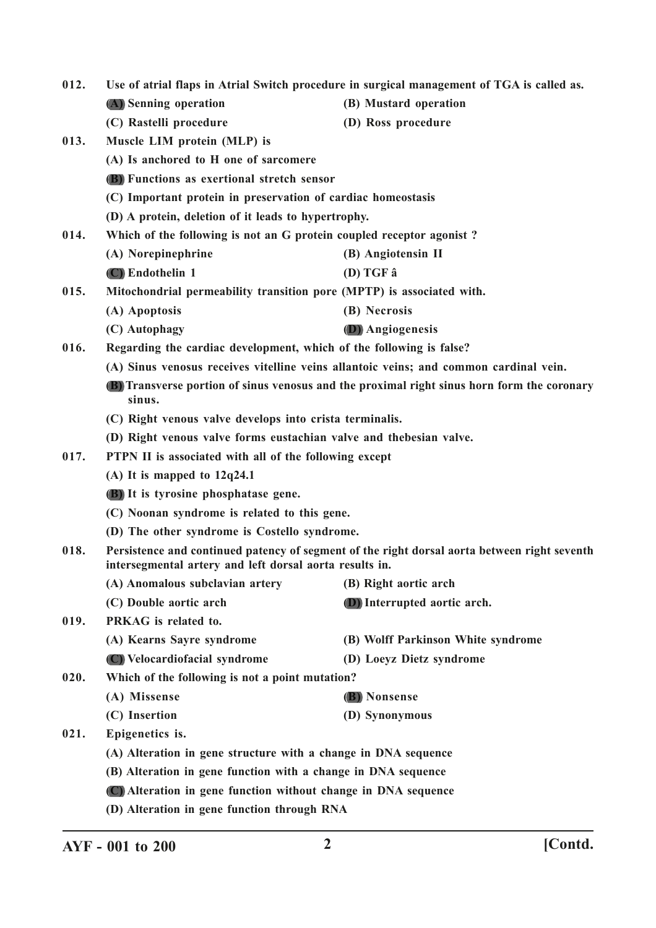| 012. | Use of atrial flaps in Atrial Switch procedure in surgical management of TGA is called as.                                                              |                                                                                             |
|------|---------------------------------------------------------------------------------------------------------------------------------------------------------|---------------------------------------------------------------------------------------------|
|      | (A) Senning operation                                                                                                                                   | (B) Mustard operation                                                                       |
|      | (C) Rastelli procedure                                                                                                                                  | (D) Ross procedure                                                                          |
| 013. | Muscle LIM protein (MLP) is                                                                                                                             |                                                                                             |
|      | (A) Is anchored to H one of sarcomere                                                                                                                   |                                                                                             |
|      | <b>(B)</b> Functions as exertional stretch sensor                                                                                                       |                                                                                             |
|      | (C) Important protein in preservation of cardiac homeostasis                                                                                            |                                                                                             |
|      | (D) A protein, deletion of it leads to hypertrophy.                                                                                                     |                                                                                             |
| 014. | Which of the following is not an G protein coupled receptor agonist?                                                                                    |                                                                                             |
|      | (A) Norepinephrine                                                                                                                                      | (B) Angiotensin II                                                                          |
|      | (C) Endothelin 1                                                                                                                                        | $(D) TGF \hat{a}$                                                                           |
| 015. | Mitochondrial permeability transition pore (MPTP) is associated with.                                                                                   |                                                                                             |
|      | (A) Apoptosis                                                                                                                                           | (B) Necrosis                                                                                |
|      | (C) Autophagy                                                                                                                                           | (D) Angiogenesis                                                                            |
| 016. | Regarding the cardiac development, which of the following is false?                                                                                     |                                                                                             |
|      | (A) Sinus venosus receives vitelline veins allantoic veins; and common cardinal vein.                                                                   |                                                                                             |
|      | sinus.                                                                                                                                                  | (B) Transverse portion of sinus venosus and the proximal right sinus horn form the coronary |
|      | (C) Right venous valve develops into crista terminalis.                                                                                                 |                                                                                             |
|      | (D) Right venous valve forms eustachian valve and thebesian valve.                                                                                      |                                                                                             |
| 017. | PTPN II is associated with all of the following except                                                                                                  |                                                                                             |
|      | (A) It is mapped to $12q24.1$                                                                                                                           |                                                                                             |
|      | (B) It is tyrosine phosphatase gene.                                                                                                                    |                                                                                             |
|      | (C) Noonan syndrome is related to this gene.                                                                                                            |                                                                                             |
|      | (D) The other syndrome is Costello syndrome.                                                                                                            |                                                                                             |
| 018. | Persistence and continued patency of segment of the right dorsal aorta between right seventh<br>intersegmental artery and left dorsal aorta results in. |                                                                                             |
|      | (A) Anomalous subclavian artery                                                                                                                         | (B) Right aortic arch                                                                       |
|      | (C) Double aortic arch                                                                                                                                  | (D) Interrupted aortic arch.                                                                |
| 019. | PRKAG is related to.                                                                                                                                    |                                                                                             |
|      | (A) Kearns Sayre syndrome                                                                                                                               | (B) Wolff Parkinson White syndrome                                                          |
|      | (C) Velocardiofacial syndrome                                                                                                                           | (D) Loeyz Dietz syndrome                                                                    |
| 020. | Which of the following is not a point mutation?                                                                                                         |                                                                                             |
|      | (A) Missense                                                                                                                                            | (B) Nonsense                                                                                |
|      | (C) Insertion                                                                                                                                           | (D) Synonymous                                                                              |
| 021. | Epigenetics is.                                                                                                                                         |                                                                                             |
|      | (A) Alteration in gene structure with a change in DNA sequence                                                                                          |                                                                                             |
|      | (B) Alteration in gene function with a change in DNA sequence                                                                                           |                                                                                             |
|      | (C) Alteration in gene function without change in DNA sequence                                                                                          |                                                                                             |
|      | (D) Alteration in gene function through RNA                                                                                                             |                                                                                             |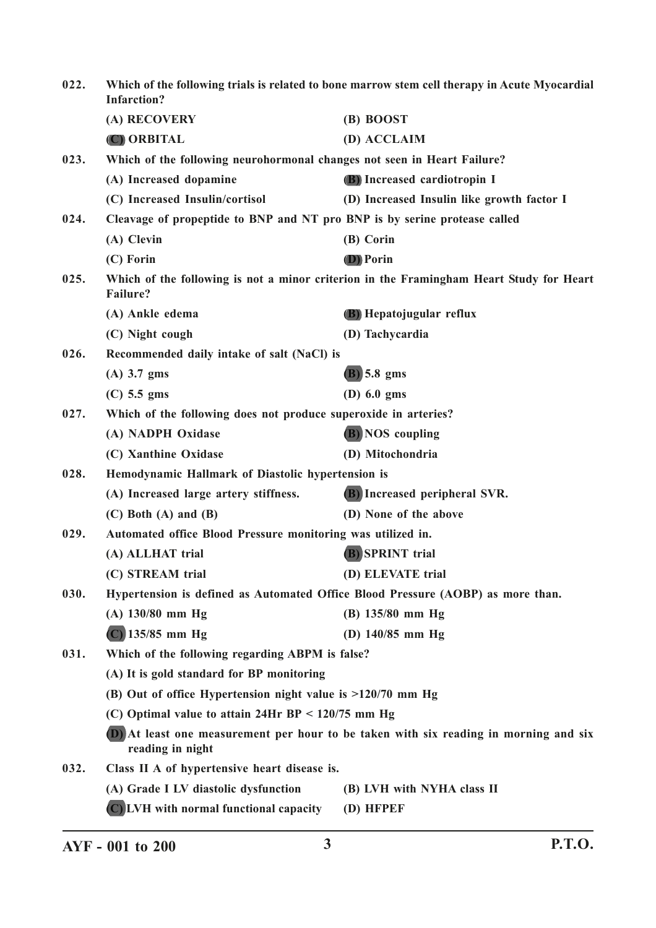| 022. | Which of the following trials is related to bone marrow stem cell therapy in Acute Myocardial<br><b>Infarction?</b> |                                                                                         |
|------|---------------------------------------------------------------------------------------------------------------------|-----------------------------------------------------------------------------------------|
|      | (A) RECOVERY                                                                                                        | (B) BOOST                                                                               |
|      | (C) ORBITAL                                                                                                         | (D) ACCLAIM                                                                             |
| 023. | Which of the following neurohormonal changes not seen in Heart Failure?                                             |                                                                                         |
|      | (A) Increased dopamine                                                                                              | (B) Increased cardiotropin I                                                            |
|      | (C) Increased Insulin/cortisol                                                                                      | (D) Increased Insulin like growth factor I                                              |
| 024. | Cleavage of propeptide to BNP and NT pro BNP is by serine protease called                                           |                                                                                         |
|      | (A) Clevin                                                                                                          | (B) Corin                                                                               |
|      | (C) Forin                                                                                                           | <b>D</b> ) Porin                                                                        |
| 025. | <b>Failure?</b>                                                                                                     | Which of the following is not a minor criterion in the Framingham Heart Study for Heart |
|      | (A) Ankle edema                                                                                                     | (B) Hepatojugular reflux                                                                |
|      | (C) Night cough                                                                                                     | (D) Tachycardia                                                                         |
| 026. | Recommended daily intake of salt (NaCl) is                                                                          |                                                                                         |
|      | $(A)$ 3.7 gms                                                                                                       | $(B)$ 5.8 gms                                                                           |
|      | $(C)$ 5.5 gms                                                                                                       | $(D)$ 6.0 gms                                                                           |
| 027. | Which of the following does not produce superoxide in arteries?                                                     |                                                                                         |
|      | (A) NADPH Oxidase                                                                                                   | <b>B</b> ) NOS coupling                                                                 |
|      | (C) Xanthine Oxidase                                                                                                | (D) Mitochondria                                                                        |
| 028. | Hemodynamic Hallmark of Diastolic hypertension is                                                                   |                                                                                         |
|      | (A) Increased large artery stiffness.                                                                               | (B) Increased peripheral SVR.                                                           |
|      | $(C)$ Both $(A)$ and $(B)$                                                                                          | (D) None of the above                                                                   |
| 029. | Automated office Blood Pressure monitoring was utilized in.                                                         |                                                                                         |
|      | (A) ALLHAT trial                                                                                                    | <b>B</b> ) SPRINT trial                                                                 |
|      | (C) STREAM trial                                                                                                    | (D) ELEVATE trial                                                                       |
| 030. | Hypertension is defined as Automated Office Blood Pressure (AOBP) as more than.                                     |                                                                                         |
|      | $(A)$ 130/80 mm Hg                                                                                                  | $(B)$ 135/80 mm Hg                                                                      |
|      | $(C)$ 135/85 mm Hg                                                                                                  | (D) $140/85$ mm Hg                                                                      |
| 031. | Which of the following regarding ABPM is false?                                                                     |                                                                                         |
|      | (A) It is gold standard for BP monitoring                                                                           |                                                                                         |
|      | (B) Out of office Hypertension night value is $>120/70$ mm Hg                                                       |                                                                                         |
|      | (C) Optimal value to attain $24$ Hr BP < $120/75$ mm Hg                                                             |                                                                                         |
|      | reading in night                                                                                                    | (D) At least one measurement per hour to be taken with six reading in morning and six   |
| 032. | Class II A of hypertensive heart disease is.                                                                        |                                                                                         |
|      | (A) Grade I LV diastolic dysfunction                                                                                | (B) LVH with NYHA class II                                                              |
|      | (C) LVH with normal functional capacity                                                                             | (D) HFPEF                                                                               |
|      |                                                                                                                     |                                                                                         |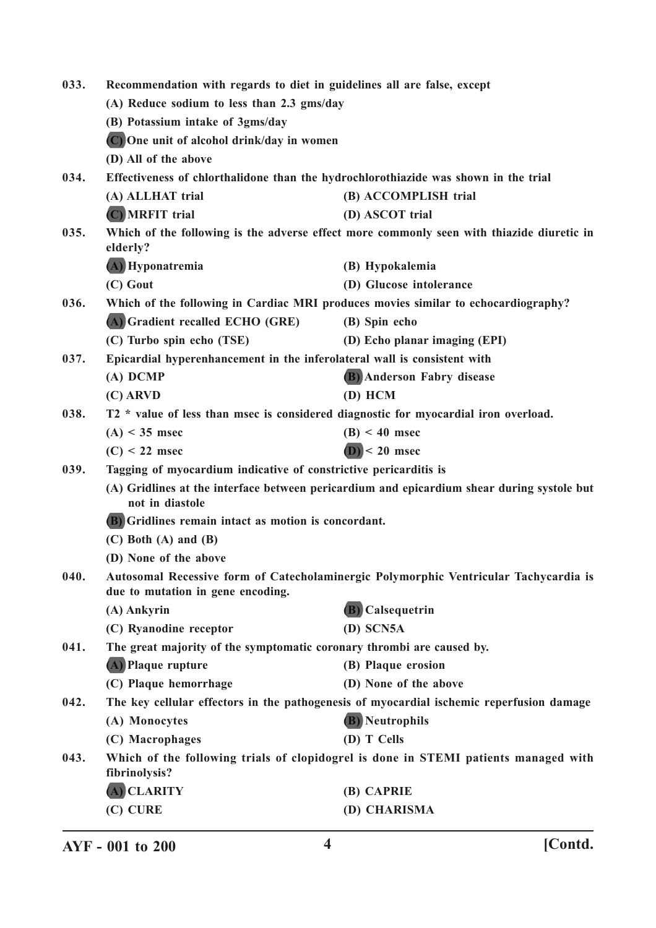| 033. | Recommendation with regards to diet in guidelines all are false, except                                       |                                                                                           |
|------|---------------------------------------------------------------------------------------------------------------|-------------------------------------------------------------------------------------------|
|      | (A) Reduce sodium to less than 2.3 gms/day                                                                    |                                                                                           |
|      | (B) Potassium intake of 3gms/day                                                                              |                                                                                           |
|      | (C) One unit of alcohol drink/day in women                                                                    |                                                                                           |
|      | (D) All of the above                                                                                          |                                                                                           |
| 034. | Effectiveness of chlorthalidone than the hydrochlorothiazide was shown in the trial                           |                                                                                           |
|      | (A) ALLHAT trial                                                                                              | (B) ACCOMPLISH trial                                                                      |
|      | (C) MRFIT trial                                                                                               | (D) ASCOT trial                                                                           |
| 035. | elderly?                                                                                                      | Which of the following is the adverse effect more commonly seen with thiazide diuretic in |
|      | (A) Hyponatremia                                                                                              | (B) Hypokalemia                                                                           |
|      | (C) Gout                                                                                                      | (D) Glucose intolerance                                                                   |
| 036. |                                                                                                               | Which of the following in Cardiac MRI produces movies similar to echocardiography?        |
|      | (A) Gradient recalled ECHO (GRE)                                                                              | (B) Spin echo                                                                             |
|      | (C) Turbo spin echo (TSE)                                                                                     | (D) Echo planar imaging (EPI)                                                             |
| 037. | Epicardial hyperenhancement in the inferolateral wall is consistent with                                      |                                                                                           |
|      | $(A)$ DCMP                                                                                                    | (B) Anderson Fabry disease                                                                |
|      | $(C)$ ARVD                                                                                                    | $(D)$ HCM                                                                                 |
| 038. | T2 * value of less than msec is considered diagnostic for myocardial iron overload.                           |                                                                                           |
|      | $(A) < 35$ msec                                                                                               | $(B) < 40$ msec                                                                           |
|      | $(C) < 22$ msec                                                                                               | $(D)$ < 20 msec                                                                           |
| 039. | Tagging of myocardium indicative of constrictive pericarditis is                                              |                                                                                           |
|      | (A) Gridlines at the interface between pericardium and epicardium shear during systole but<br>not in diastole |                                                                                           |
|      | (B) Gridlines remain intact as motion is concordant.                                                          |                                                                                           |
|      | $(C)$ Both $(A)$ and $(B)$                                                                                    |                                                                                           |
|      | (D) None of the above                                                                                         |                                                                                           |
| 040. | due to mutation in gene encoding.                                                                             | Autosomal Recessive form of Catecholaminergic Polymorphic Ventricular Tachycardia is      |
|      | (A) Ankyrin                                                                                                   | (B) Calsequetrin                                                                          |
|      | (C) Ryanodine receptor                                                                                        | $(D)$ SCN5A                                                                               |
| 041. | The great majority of the symptomatic coronary thrombi are caused by.                                         |                                                                                           |
|      | (A) Plaque rupture                                                                                            | (B) Plaque erosion                                                                        |
|      | (C) Plaque hemorrhage                                                                                         | (D) None of the above                                                                     |
| 042. |                                                                                                               | The key cellular effectors in the pathogenesis of myocardial ischemic reperfusion damage  |
|      | (A) Monocytes                                                                                                 | <b>(B)</b> Neutrophils                                                                    |
|      | (C) Macrophages                                                                                               | (D) T Cells                                                                               |
| 043. | fibrinolysis?                                                                                                 | Which of the following trials of clopidogrel is done in STEMI patients managed with       |
|      | (A) CLARITY                                                                                                   | (B) CAPRIE                                                                                |
|      | (C) CURE                                                                                                      | (D) CHARISMA                                                                              |
|      |                                                                                                               |                                                                                           |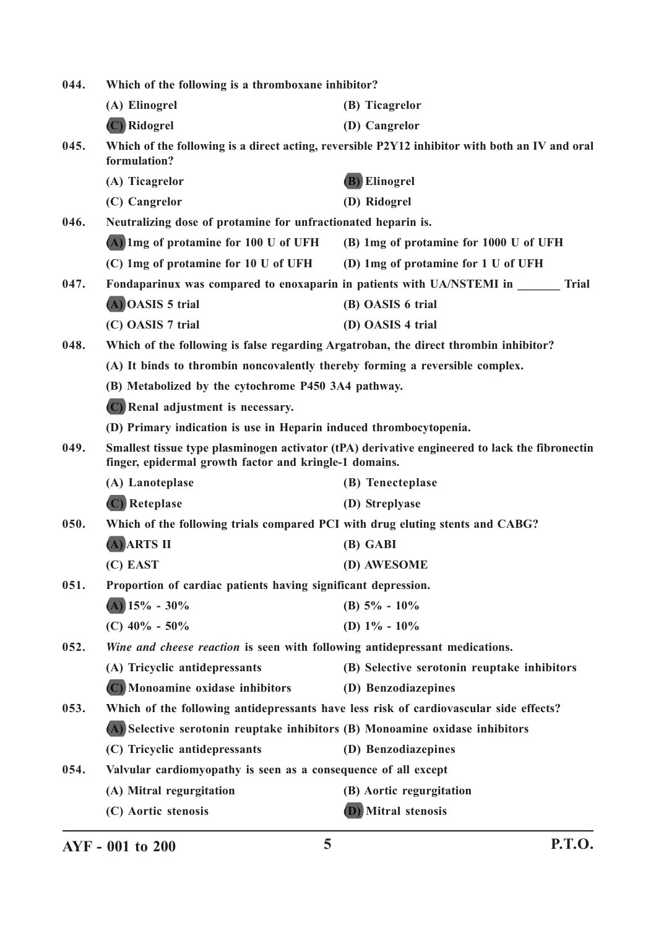| 044. | Which of the following is a thromboxane inhibitor?                                   |                                                                                                |
|------|--------------------------------------------------------------------------------------|------------------------------------------------------------------------------------------------|
|      | (A) Elinogrel                                                                        | (B) Ticagrelor                                                                                 |
|      | (C) Ridogrel                                                                         | (D) Cangrelor                                                                                  |
| 045. | formulation?                                                                         | Which of the following is a direct acting, reversible P2Y12 inhibitor with both an IV and oral |
|      | (A) Ticagrelor                                                                       | (B) Elinogrel                                                                                  |
|      | (C) Cangrelor                                                                        | (D) Ridogrel                                                                                   |
| 046. | Neutralizing dose of protamine for unfractionated heparin is.                        |                                                                                                |
|      | (A) 1mg of protamine for 100 U of UFH                                                | (B) 1mg of protamine for 1000 U of UFH                                                         |
|      | (C) 1mg of protamine for 10 U of UFH                                                 | (D) 1mg of protamine for 1 U of UFH                                                            |
| 047. | Fondaparinux was compared to enoxaparin in patients with UA/NSTEMI in                | <b>Trial</b>                                                                                   |
|      | (A) OASIS 5 trial                                                                    | (B) OASIS 6 trial                                                                              |
|      | (C) OASIS 7 trial                                                                    | (D) OASIS 4 trial                                                                              |
| 048. | Which of the following is false regarding Argatroban, the direct thrombin inhibitor? |                                                                                                |
|      | (A) It binds to thrombin noncovalently thereby forming a reversible complex.         |                                                                                                |
|      | (B) Metabolized by the cytochrome P450 3A4 pathway.                                  |                                                                                                |
|      | (C) Renal adjustment is necessary.                                                   |                                                                                                |
|      | (D) Primary indication is use in Heparin induced thrombocytopenia.                   |                                                                                                |
| 049. | finger, epidermal growth factor and kringle-1 domains.                               | Smallest tissue type plasminogen activator (tPA) derivative engineered to lack the fibronectin |
|      | (A) Lanoteplase                                                                      | (B) Tenecteplase                                                                               |
|      | (C) Reteplase                                                                        | (D) Streplyase                                                                                 |
| 050. | Which of the following trials compared PCI with drug eluting stents and CABG?        |                                                                                                |
|      | (A) ARTS II                                                                          | (B) GABI                                                                                       |
|      | (C) EAST                                                                             | (D) AWESOME                                                                                    |
| 051. | Proportion of cardiac patients having significant depression.                        |                                                                                                |
|      | $(A)$ 15% - 30%                                                                      | (B) $5\% - 10\%$                                                                               |
|      | (C) $40\% - 50\%$                                                                    | (D) $1\% - 10\%$                                                                               |
| 052. | Wine and cheese reaction is seen with following antidepressant medications.          |                                                                                                |
|      | (A) Tricyclic antidepressants                                                        | (B) Selective serotonin reuptake inhibitors                                                    |
|      | (C) Monoamine oxidase inhibitors                                                     | (D) Benzodiazepines                                                                            |
| 053. |                                                                                      | Which of the following antidepressants have less risk of cardiovascular side effects?          |
|      | (A) Selective serotonin reuptake inhibitors (B) Monoamine oxidase inhibitors         |                                                                                                |
|      | (C) Tricyclic antidepressants                                                        | (D) Benzodiazepines                                                                            |
| 054. | Valvular cardiomyopathy is seen as a consequence of all except                       |                                                                                                |
|      | (A) Mitral regurgitation                                                             | (B) Aortic regurgitation                                                                       |
|      | (C) Aortic stenosis                                                                  | <b>D</b> ) Mitral stenosis                                                                     |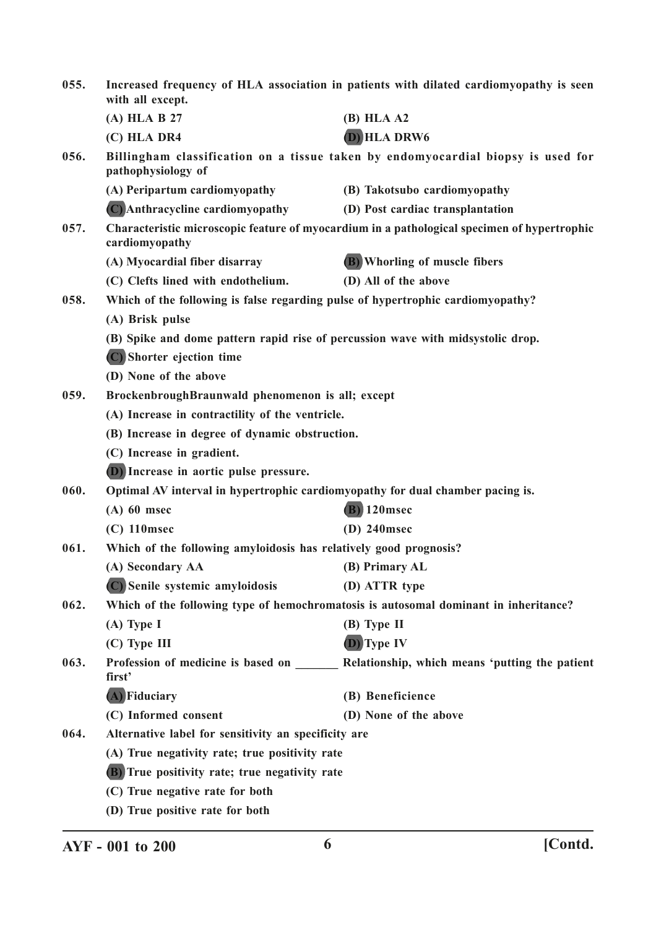| 055. | Increased frequency of HLA association in patients with dilated cardiomyopathy is seen<br>with all except. |                                                                                             |
|------|------------------------------------------------------------------------------------------------------------|---------------------------------------------------------------------------------------------|
|      | (A) HLA B 27                                                                                               | $(B)$ HLA A2                                                                                |
|      | (C) HLA DR4                                                                                                | <b>D</b> ) HLA DRW6                                                                         |
| 056. | pathophysiology of                                                                                         | Billingham classification on a tissue taken by endomyocardial biopsy is used for            |
|      | (A) Peripartum cardiomyopathy                                                                              | (B) Takotsubo cardiomyopathy                                                                |
|      | (C) Anthracycline cardiomyopathy                                                                           | (D) Post cardiac transplantation                                                            |
| 057. | cardiomyopathy                                                                                             | Characteristic microscopic feature of myocardium in a pathological specimen of hypertrophic |
|      | (A) Myocardial fiber disarray                                                                              | (B) Whorling of muscle fibers                                                               |
|      | (C) Clefts lined with endothelium.                                                                         | (D) All of the above                                                                        |
| 058. |                                                                                                            | Which of the following is false regarding pulse of hypertrophic cardiomyopathy?             |
|      | (A) Brisk pulse                                                                                            |                                                                                             |
|      |                                                                                                            | (B) Spike and dome pattern rapid rise of percussion wave with midsystolic drop.             |
|      | (C) Shorter ejection time                                                                                  |                                                                                             |
|      | (D) None of the above                                                                                      |                                                                                             |
| 059. | BrockenbroughBraunwald phenomenon is all; except                                                           |                                                                                             |
|      | (A) Increase in contractility of the ventricle.                                                            |                                                                                             |
|      | (B) Increase in degree of dynamic obstruction.                                                             |                                                                                             |
|      | (C) Increase in gradient.                                                                                  |                                                                                             |
|      | (D) Increase in aortic pulse pressure.                                                                     |                                                                                             |
| 060. | Optimal AV interval in hypertrophic cardiomyopathy for dual chamber pacing is.                             |                                                                                             |
|      | $(A)$ 60 msec                                                                                              | $(B)$ 120msec                                                                               |
|      | $(C)$ 110msec                                                                                              | $(D)$ 240msec                                                                               |
| 061. | Which of the following amyloidosis has relatively good prognosis?                                          |                                                                                             |
|      | (A) Secondary AA                                                                                           | (B) Primary AL                                                                              |
|      | (C) Senile systemic amyloidosis                                                                            | (D) ATTR type                                                                               |
| 062. |                                                                                                            | Which of the following type of hemochromatosis is autosomal dominant in inheritance?        |
|      | $(A)$ Type I                                                                                               | $(B)$ Type II                                                                               |
|      | (C) Type III                                                                                               | (D) Type IV                                                                                 |
| 063. | first'                                                                                                     | Profession of medicine is based on _________ Relationship, which means 'putting the patient |
|      | (A) Fiduciary                                                                                              | (B) Beneficience                                                                            |
|      | (C) Informed consent                                                                                       | (D) None of the above                                                                       |
| 064. | Alternative label for sensitivity an specificity are                                                       |                                                                                             |
|      | (A) True negativity rate; true positivity rate                                                             |                                                                                             |
|      | (B) True positivity rate; true negativity rate                                                             |                                                                                             |
|      | (C) True negative rate for both                                                                            |                                                                                             |
|      | (D) True positive rate for both                                                                            |                                                                                             |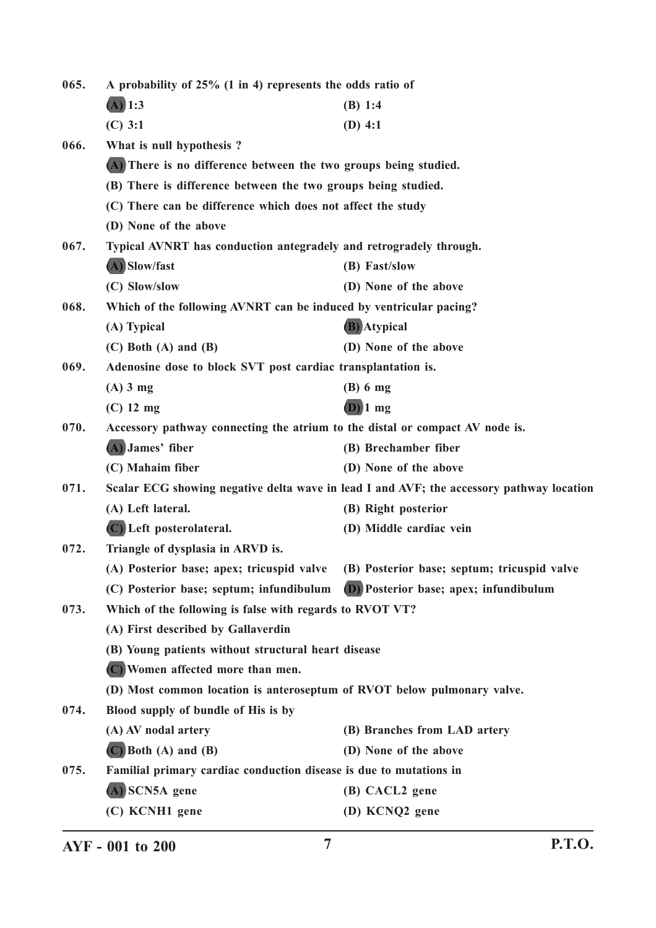**065. A probability of 25% (1 in 4) represents the odds ratio of (A) 1:3 (B) 1:4 (C) 3:1 (D) 4:1 066. What is null hypothesis ? (A) There is no difference between the two groups being studied. (B) There is difference between the two groups being studied. (C) There can be difference which does not affect the study (D) None of the above 067. Typical AVNRT has conduction antegradely and retrogradely through. (A) Slow/fast (B) Fast/slow (C) Slow/slow (D) None of the above 068. Which of the following AVNRT can be induced by ventricular pacing? (A) Typical (B) Atypical (C) Both (A) and (B) (D) None of the above 069. Adenosine dose to block SVT post cardiac transplantation is. (A) 3 mg (B) 6 mg (C) 12 mg (D) 1 mg 070. Accessory pathway connecting the atrium to the distal or compact AV node is. (A) James' fiber (B) Brechamber fiber (C) Mahaim fiber (D) None of the above 071. Scalar ECG showing negative delta wave in lead I and AVF; the accessory pathway location (A) Left lateral. (B) Right posterior (C) Left posterolateral. (D) Middle cardiac vein 072. Triangle of dysplasia in ARVD is. (A) Posterior base; apex; tricuspid valve (B) Posterior base; septum; tricuspid valve (C) Posterior base; septum; infundibulum (D) Posterior base; apex; infundibulum 073. Which of the following is false with regards to RVOT VT? (A) First described by Gallaverdin (B) Young patients without structural heart disease (C) Women affected more than men. (D) Most common location is anteroseptum of RVOT below pulmonary valve. 074. Blood supply of bundle of His is by (A) AV nodal artery (B) Branches from LAD artery (C) Both (A) and (B) (D) None of the above 075. Familial primary cardiac conduction disease is due to mutations in (A) SCN5A gene (B) CACL2 gene (C) KCNH1 gene (D) KCNQ2 gene**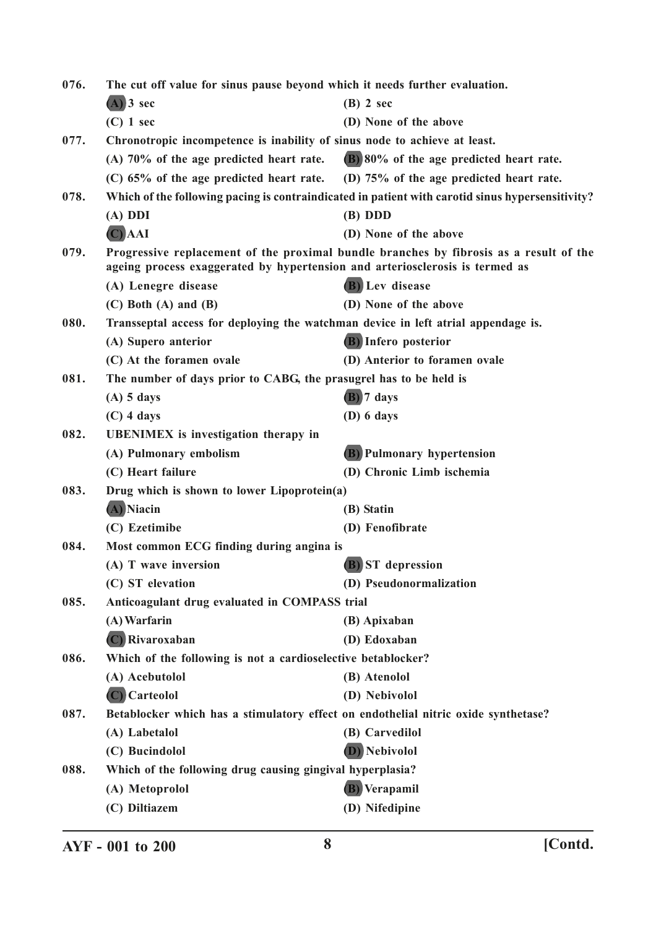| 076. | The cut off value for sinus pause beyond which it needs further evaluation.         |                                                                                                  |
|------|-------------------------------------------------------------------------------------|--------------------------------------------------------------------------------------------------|
|      | $(A)$ 3 sec                                                                         | $(B)$ 2 sec                                                                                      |
|      | $(C)$ 1 sec                                                                         | (D) None of the above                                                                            |
| 077. | Chronotropic incompetence is inability of sinus node to achieve at least.           |                                                                                                  |
|      | $(A)$ 70% of the age predicted heart rate.                                          | (B) 80% of the age predicted heart rate.                                                         |
|      | $(C)$ 65% of the age predicted heart rate. (D) 75% of the age predicted heart rate. |                                                                                                  |
| 078. |                                                                                     | Which of the following pacing is contraindicated in patient with carotid sinus hypersensitivity? |
|      | $(A)$ DDI                                                                           | $(B)$ DDD                                                                                        |
|      | $(C)$ AAI                                                                           | (D) None of the above                                                                            |
| 079. | ageing process exaggerated by hypertension and arteriosclerosis is termed as        | Progressive replacement of the proximal bundle branches by fibrosis as a result of the           |
|      | (A) Lenegre disease                                                                 | (B) Lev disease                                                                                  |
|      | $(C)$ Both $(A)$ and $(B)$                                                          | (D) None of the above                                                                            |
| 080. | Transseptal access for deploying the watchman device in left atrial appendage is.   |                                                                                                  |
|      | (A) Supero anterior                                                                 | (B) Infero posterior                                                                             |
|      | (C) At the foramen ovale                                                            | (D) Anterior to foramen ovale                                                                    |
| 081. | The number of days prior to CABG, the prasugrel has to be held is                   |                                                                                                  |
|      | $(A)$ 5 days                                                                        | (B) 7 days                                                                                       |
|      | $(C)$ 4 days                                                                        | $(D)$ 6 days                                                                                     |
| 082. | <b>UBENIMEX</b> is investigation therapy in                                         |                                                                                                  |
|      | (A) Pulmonary embolism                                                              | (B) Pulmonary hypertension                                                                       |
|      | (C) Heart failure                                                                   | (D) Chronic Limb ischemia                                                                        |
| 083. | Drug which is shown to lower Lipoprotein(a)                                         |                                                                                                  |
|      | (A) Niacin                                                                          | (B) Statin                                                                                       |
|      | (C) Ezetimibe                                                                       | (D) Fenofibrate                                                                                  |
| 084. | Most common ECG finding during angina is                                            |                                                                                                  |
|      | (A) T wave inversion                                                                | (B) ST depression                                                                                |
|      | (C) ST elevation                                                                    | (D) Pseudonormalization                                                                          |
| 085. | Anticoagulant drug evaluated in COMPASS trial                                       |                                                                                                  |
|      | (A) Warfarin                                                                        | (B) Apixaban                                                                                     |
|      | (C) Rivaroxaban                                                                     | (D) Edoxaban                                                                                     |
| 086. | Which of the following is not a cardioselective betablocker?                        |                                                                                                  |
|      | (A) Acebutolol                                                                      | (B) Atenolol                                                                                     |
|      | (C) Carteolol                                                                       | (D) Nebivolol                                                                                    |
| 087. | Betablocker which has a stimulatory effect on endothelial nitric oxide synthetase?  |                                                                                                  |
|      | (A) Labetalol                                                                       | (B) Carvedilol                                                                                   |
|      | (C) Bucindolol                                                                      | (D) Nebivolol                                                                                    |
| 088. | Which of the following drug causing gingival hyperplasia?                           |                                                                                                  |
|      | (A) Metoprolol                                                                      | (B) Verapamil                                                                                    |
|      | (C) Diltiazem                                                                       | (D) Nifedipine                                                                                   |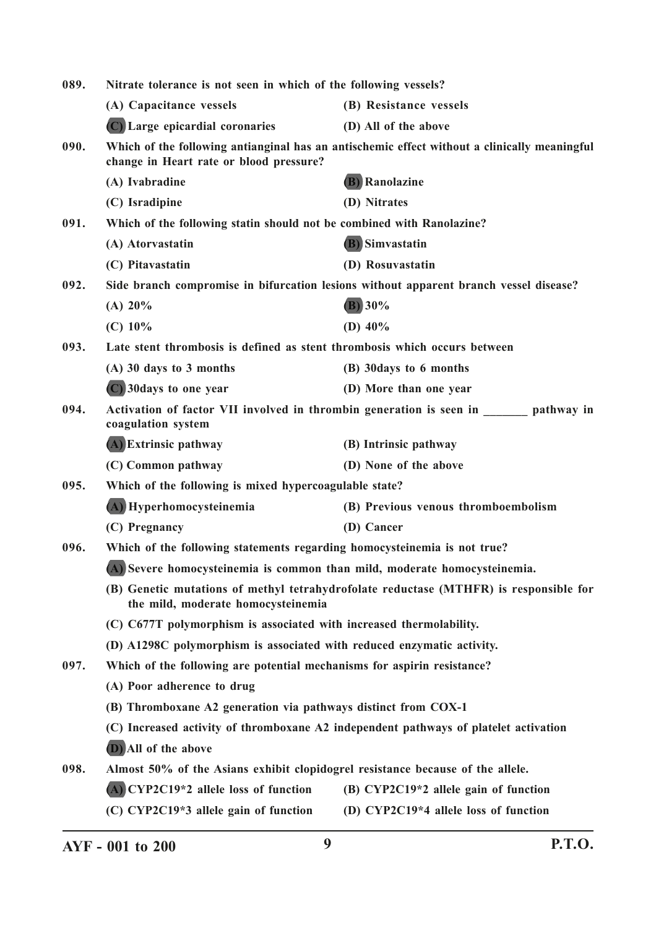| 089. | Nitrate tolerance is not seen in which of the following vessels?                                                            |                                                                                              |
|------|-----------------------------------------------------------------------------------------------------------------------------|----------------------------------------------------------------------------------------------|
|      | (A) Capacitance vessels                                                                                                     | (B) Resistance vessels                                                                       |
|      | (C) Large epicardial coronaries                                                                                             | (D) All of the above                                                                         |
| 090. | change in Heart rate or blood pressure?                                                                                     | Which of the following antianginal has an antischemic effect without a clinically meaningful |
|      | (A) Ivabradine                                                                                                              | <b>B</b> ) Ranolazine                                                                        |
|      | (C) Isradipine                                                                                                              | (D) Nitrates                                                                                 |
| 091. | Which of the following statin should not be combined with Ranolazine?                                                       |                                                                                              |
|      | (A) Atorvastatin                                                                                                            | <b>(B)</b> Simvastatin                                                                       |
|      | (C) Pitavastatin                                                                                                            | (D) Rosuvastatin                                                                             |
| 092. |                                                                                                                             | Side branch compromise in bifurcation lesions without apparent branch vessel disease?        |
|      | (A) $20\%$                                                                                                                  | (B) 30%                                                                                      |
|      | $(C)$ 10%                                                                                                                   | (D) $40\%$                                                                                   |
| 093. | Late stent thrombosis is defined as stent thrombosis which occurs between                                                   |                                                                                              |
|      | $(A)$ 30 days to 3 months                                                                                                   | (B) 30 days to 6 months                                                                      |
|      | (C) 30 days to one year                                                                                                     | (D) More than one year                                                                       |
| 094. | coagulation system                                                                                                          | Activation of factor VII involved in thrombin generation is seen in pathway in               |
|      | (A) Extrinsic pathway                                                                                                       | (B) Intrinsic pathway                                                                        |
|      | (C) Common pathway                                                                                                          | (D) None of the above                                                                        |
| 095. | Which of the following is mixed hypercoagulable state?                                                                      |                                                                                              |
|      | (A) Hyperhomocysteinemia                                                                                                    | (B) Previous venous thromboembolism                                                          |
|      | (C) Pregnancy                                                                                                               | (D) Cancer                                                                                   |
| 096. | Which of the following statements regarding homocysteinemia is not true?                                                    |                                                                                              |
|      | (A) Severe homocysteinemia is common than mild, moderate homocysteinemia.                                                   |                                                                                              |
|      | (B) Genetic mutations of methyl tetrahydrofolate reductase (MTHFR) is responsible for<br>the mild, moderate homocysteinemia |                                                                                              |
|      | (C) C677T polymorphism is associated with increased thermolability.                                                         |                                                                                              |
|      | (D) A1298C polymorphism is associated with reduced enzymatic activity.                                                      |                                                                                              |
| 097. | Which of the following are potential mechanisms for aspirin resistance?                                                     |                                                                                              |
|      | (A) Poor adherence to drug                                                                                                  |                                                                                              |
|      | (B) Thromboxane A2 generation via pathways distinct from COX-1                                                              |                                                                                              |
|      | (C) Increased activity of thromboxane A2 independent pathways of platelet activation                                        |                                                                                              |
|      | (D) All of the above                                                                                                        |                                                                                              |
| 098. | Almost 50% of the Asians exhibit clopidogrel resistance because of the allele.                                              |                                                                                              |
|      | (A) CYP2C19*2 allele loss of function                                                                                       | (B) CYP2C19*2 allele gain of function                                                        |
|      | (C) CYP2C19*3 allele gain of function                                                                                       | (D) CYP2C19*4 allele loss of function                                                        |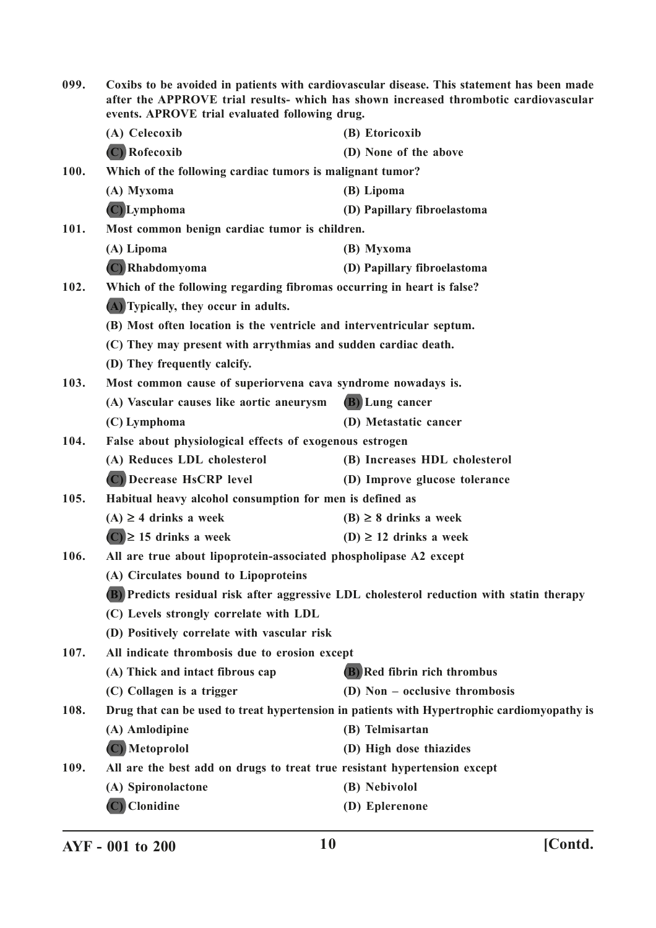| 099.        | Coxibs to be avoided in patients with cardiovascular disease. This statement has been made<br>after the APPROVE trial results- which has shown increased thrombotic cardiovascular<br>events. APROVE trial evaluated following drug. |                                                                                             |  |
|-------------|--------------------------------------------------------------------------------------------------------------------------------------------------------------------------------------------------------------------------------------|---------------------------------------------------------------------------------------------|--|
|             | (A) Celecoxib                                                                                                                                                                                                                        | (B) Etoricoxib                                                                              |  |
|             | (C) Rofecoxib                                                                                                                                                                                                                        | (D) None of the above                                                                       |  |
| <b>100.</b> | Which of the following cardiac tumors is malignant tumor?                                                                                                                                                                            |                                                                                             |  |
|             | (A) Myxoma                                                                                                                                                                                                                           | (B) Lipoma                                                                                  |  |
|             | (C) Lymphoma                                                                                                                                                                                                                         | (D) Papillary fibroelastoma                                                                 |  |
| 101.        | Most common benign cardiac tumor is children.                                                                                                                                                                                        |                                                                                             |  |
|             | (A) Lipoma                                                                                                                                                                                                                           | (B) Myxoma                                                                                  |  |
|             | (C) Rhabdomyoma                                                                                                                                                                                                                      | (D) Papillary fibroelastoma                                                                 |  |
| 102.        | Which of the following regarding fibromas occurring in heart is false?                                                                                                                                                               |                                                                                             |  |
|             | (A) Typically, they occur in adults.                                                                                                                                                                                                 |                                                                                             |  |
|             | (B) Most often location is the ventricle and interventricular septum.                                                                                                                                                                |                                                                                             |  |
|             | (C) They may present with arrythmias and sudden cardiac death.                                                                                                                                                                       |                                                                                             |  |
|             | (D) They frequently calcify.                                                                                                                                                                                                         |                                                                                             |  |
| 103.        | Most common cause of superiorvena cava syndrome nowadays is.                                                                                                                                                                         |                                                                                             |  |
|             | (A) Vascular causes like aortic aneurysm                                                                                                                                                                                             | (B) Lung cancer                                                                             |  |
|             | (C) Lymphoma                                                                                                                                                                                                                         | (D) Metastatic cancer                                                                       |  |
| 104.        |                                                                                                                                                                                                                                      | False about physiological effects of exogenous estrogen                                     |  |
|             | (A) Reduces LDL cholesterol                                                                                                                                                                                                          | (B) Increases HDL cholesterol                                                               |  |
|             | (C) Decrease HsCRP level                                                                                                                                                                                                             | (D) Improve glucose tolerance                                                               |  |
| 105.        | Habitual heavy alcohol consumption for men is defined as                                                                                                                                                                             |                                                                                             |  |
|             | $(A) \geq 4$ drinks a week                                                                                                                                                                                                           | $(B) \geq 8$ drinks a week                                                                  |  |
|             | $(C) \ge 15$ drinks a week                                                                                                                                                                                                           | (D) $\geq$ 12 drinks a week                                                                 |  |
| 106.        | All are true about lipoprotein-associated phospholipase A2 except                                                                                                                                                                    |                                                                                             |  |
|             | (A) Circulates bound to Lipoproteins                                                                                                                                                                                                 |                                                                                             |  |
|             |                                                                                                                                                                                                                                      | (B) Predicts residual risk after aggressive LDL cholesterol reduction with statin therapy   |  |
|             | (C) Levels strongly correlate with LDL                                                                                                                                                                                               |                                                                                             |  |
|             | (D) Positively correlate with vascular risk                                                                                                                                                                                          |                                                                                             |  |
| 107.        | All indicate thrombosis due to erosion except                                                                                                                                                                                        |                                                                                             |  |
|             | (A) Thick and intact fibrous cap                                                                                                                                                                                                     | (B) Red fibrin rich thrombus                                                                |  |
|             | (C) Collagen is a trigger                                                                                                                                                                                                            | (D) Non - occlusive thrombosis                                                              |  |
| 108.        |                                                                                                                                                                                                                                      | Drug that can be used to treat hypertension in patients with Hypertrophic cardiomyopathy is |  |
|             | (A) Amlodipine                                                                                                                                                                                                                       | (B) Telmisartan                                                                             |  |
|             | (C) Metoprolol                                                                                                                                                                                                                       | (D) High dose thiazides                                                                     |  |
| 109.        | All are the best add on drugs to treat true resistant hypertension except                                                                                                                                                            |                                                                                             |  |
|             | (A) Spironolactone                                                                                                                                                                                                                   | (B) Nebivolol                                                                               |  |
|             | (C) Clonidine                                                                                                                                                                                                                        | (D) Eplerenone                                                                              |  |
|             |                                                                                                                                                                                                                                      |                                                                                             |  |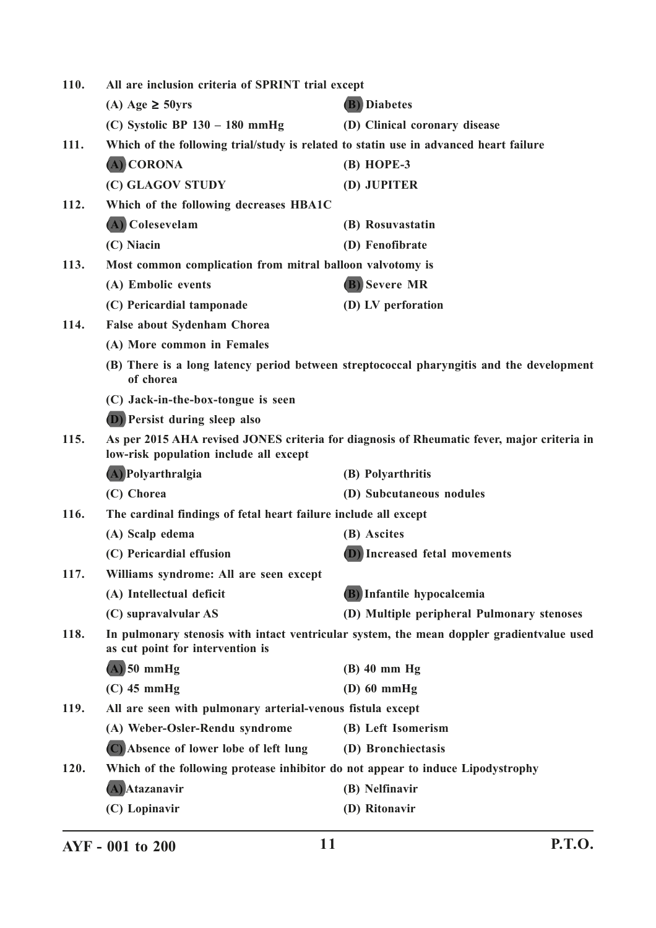| 110. | All are inclusion criteria of SPRINT trial except                                     |                                                                                            |
|------|---------------------------------------------------------------------------------------|--------------------------------------------------------------------------------------------|
|      | (A) Age $\geq$ 50yrs                                                                  | <b>(B)</b> Diabetes                                                                        |
|      | (C) Systolic BP $130 - 180$ mmHg                                                      | (D) Clinical coronary disease                                                              |
| 111. | Which of the following trial/study is related to statin use in advanced heart failure |                                                                                            |
|      | (A) CORONA                                                                            | (B) HOPE-3                                                                                 |
|      | (C) GLAGOV STUDY                                                                      | (D) JUPITER                                                                                |
| 112. | Which of the following decreases HBA1C                                                |                                                                                            |
|      | (A) Colesevelam                                                                       | (B) Rosuvastatin                                                                           |
|      | (C) Niacin                                                                            | (D) Fenofibrate                                                                            |
| 113. | Most common complication from mitral balloon valvotomy is                             |                                                                                            |
|      | (A) Embolic events                                                                    | (B) Severe MR                                                                              |
|      | (C) Pericardial tamponade                                                             | (D) LV perforation                                                                         |
| 114. | <b>False about Sydenham Chorea</b>                                                    |                                                                                            |
|      | (A) More common in Females                                                            |                                                                                            |
|      | of chorea                                                                             | (B) There is a long latency period between streptococcal pharyngitis and the development   |
|      | (C) Jack-in-the-box-tongue is seen                                                    |                                                                                            |
|      | (D) Persist during sleep also                                                         |                                                                                            |
| 115. | low-risk population include all except                                                | As per 2015 AHA revised JONES criteria for diagnosis of Rheumatic fever, major criteria in |
|      | (A) Polyarthralgia                                                                    | (B) Polyarthritis                                                                          |
|      | (C) Chorea                                                                            | (D) Subcutaneous nodules                                                                   |
| 116. | The cardinal findings of fetal heart failure include all except                       |                                                                                            |
|      | (A) Scalp edema                                                                       | (B) Ascites                                                                                |
|      | (C) Pericardial effusion                                                              | <b>D</b> ) Increased fetal movements                                                       |
| 117. | Williams syndrome: All are seen except                                                |                                                                                            |
|      | (A) Intellectual deficit                                                              | (B) Infantile hypocalcemia                                                                 |
|      | (C) supravalvular AS                                                                  | (D) Multiple peripheral Pulmonary stenoses                                                 |
| 118. | as cut point for intervention is                                                      | In pulmonary stenosis with intact ventricular system, the mean doppler gradient value used |
|      | $(A)$ 50 mmHg                                                                         | $(B)$ 40 mm Hg                                                                             |
|      | $(C)$ 45 mmHg                                                                         | $(D)$ 60 mmHg                                                                              |
| 119. | All are seen with pulmonary arterial-venous fistula except                            |                                                                                            |
|      | (A) Weber-Osler-Rendu syndrome                                                        | (B) Left Isomerism                                                                         |
|      | (C) Absence of lower lobe of left lung                                                | (D) Bronchiectasis                                                                         |
| 120. | Which of the following protease inhibitor do not appear to induce Lipodystrophy       |                                                                                            |
|      | (A) Atazanavir                                                                        | (B) Nelfinavir                                                                             |
|      | (C) Lopinavir                                                                         | (D) Ritonavir                                                                              |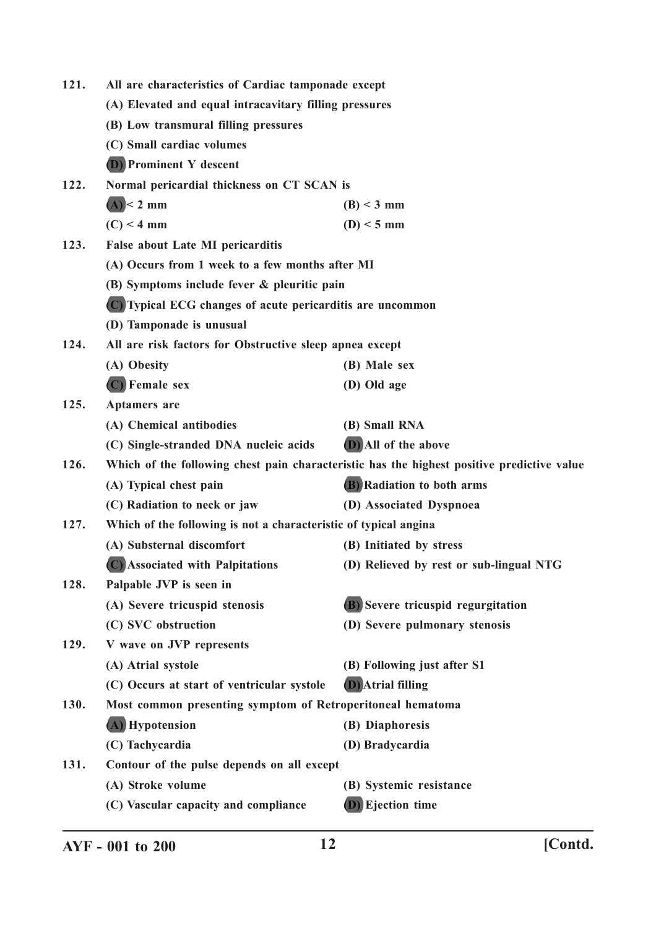| 121. | All are characteristics of Cardiac tamponade except              |                                                                                            |
|------|------------------------------------------------------------------|--------------------------------------------------------------------------------------------|
|      | (A) Elevated and equal intracavitary filling pressures           |                                                                                            |
|      | (B) Low transmural filling pressures                             |                                                                                            |
|      | (C) Small cardiac volumes                                        |                                                                                            |
|      | (D) Prominent Y descent                                          |                                                                                            |
| 122. | Normal pericardial thickness on CT SCAN is                       |                                                                                            |
|      | $(A)$ < 2 mm                                                     | $(B) < 3$ mm                                                                               |
|      | $(C)$ < 4 mm                                                     | $(D) < 5$ mm                                                                               |
| 123. | False about Late MI pericarditis                                 |                                                                                            |
|      | (A) Occurs from 1 week to a few months after MI                  |                                                                                            |
|      | (B) Symptoms include fever & pleuritic pain                      |                                                                                            |
|      | (C) Typical ECG changes of acute pericarditis are uncommon       |                                                                                            |
|      | (D) Tamponade is unusual                                         |                                                                                            |
| 124. | All are risk factors for Obstructive sleep apnea except          |                                                                                            |
|      | (A) Obesity                                                      | (B) Male sex                                                                               |
|      | (C) Female sex                                                   | (D) Old age                                                                                |
| 125. | <b>Aptamers</b> are                                              |                                                                                            |
|      | (A) Chemical antibodies                                          | (B) Small RNA                                                                              |
|      | (C) Single-stranded DNA nucleic acids                            | (D) All of the above                                                                       |
| 126. |                                                                  | Which of the following chest pain characteristic has the highest positive predictive value |
|      | (A) Typical chest pain                                           | (B) Radiation to both arms                                                                 |
|      | (C) Radiation to neck or jaw                                     | (D) Associated Dyspnoea                                                                    |
| 127. | Which of the following is not a characteristic of typical angina |                                                                                            |
|      | (A) Substernal discomfort                                        | (B) Initiated by stress                                                                    |
|      | (C) Associated with Palpitations                                 | (D) Relieved by rest or sub-lingual NTG                                                    |
| 128. | Palpable JVP is seen in                                          |                                                                                            |
|      | (A) Severe tricuspid stenosis                                    | (B) Severe tricuspid regurgitation                                                         |
|      | (C) SVC obstruction                                              | (D) Severe pulmonary stenosis                                                              |
| 129. | V wave on JVP represents                                         |                                                                                            |
|      | (A) Atrial systole                                               | (B) Following just after S1                                                                |
|      | (C) Occurs at start of ventricular systole                       | <b>D</b> ) Atrial filling                                                                  |
| 130. | Most common presenting symptom of Retroperitoneal hematoma       |                                                                                            |
|      | (A) Hypotension                                                  | (B) Diaphoresis                                                                            |
|      | (C) Tachycardia                                                  | (D) Bradycardia                                                                            |
| 131. | Contour of the pulse depends on all except                       |                                                                                            |
|      | (A) Stroke volume                                                | (B) Systemic resistance                                                                    |
|      | (C) Vascular capacity and compliance                             | (D) Ejection time                                                                          |
|      |                                                                  |                                                                                            |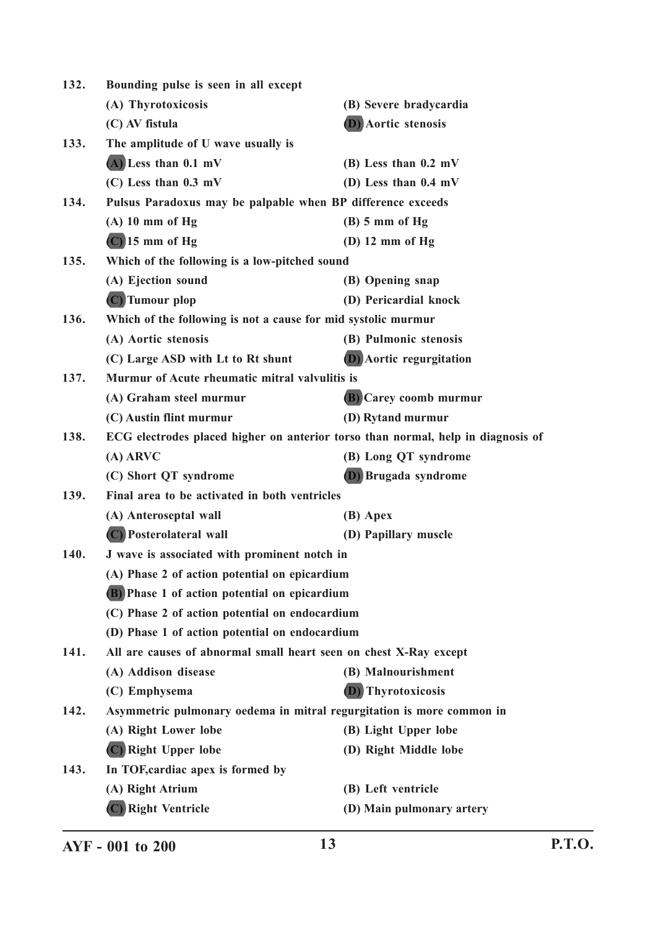| 132.                                                 | Bounding pulse is seen in all except                                             |                                 |  |
|------------------------------------------------------|----------------------------------------------------------------------------------|---------------------------------|--|
|                                                      | (A) Thyrotoxicosis                                                               | (B) Severe bradycardia          |  |
|                                                      | (C) AV fistula                                                                   | <b>D</b> ) Aortic stenosis      |  |
| 133.                                                 | The amplitude of U wave usually is                                               |                                 |  |
|                                                      | $(A)$ Less than 0.1 mV                                                           | $(B)$ Less than 0.2 mV          |  |
|                                                      | $(C)$ Less than $0.3$ mV                                                         | (D) Less than $0.4$ mV          |  |
| 134.                                                 | Pulsus Paradoxus may be palpable when BP difference exceeds                      |                                 |  |
|                                                      | $(A)$ 10 mm of Hg                                                                | $(B)$ 5 mm of Hg                |  |
|                                                      | $(C)$ 15 mm of Hg                                                                | $(D)$ 12 mm of Hg               |  |
| 135.                                                 | Which of the following is a low-pitched sound                                    |                                 |  |
|                                                      | (A) Ejection sound                                                               | (B) Opening snap                |  |
|                                                      | (C) Tumour plop                                                                  | (D) Pericardial knock           |  |
| 136.                                                 | Which of the following is not a cause for mid systolic murmur                    |                                 |  |
|                                                      | (A) Aortic stenosis                                                              | (B) Pulmonic stenosis           |  |
|                                                      | (C) Large ASD with Lt to Rt shunt                                                | <b>(D)</b> Aortic regurgitation |  |
| 137.                                                 | Murmur of Acute rheumatic mitral valvulitis is                                   |                                 |  |
|                                                      | (A) Graham steel murmur                                                          | <b>(B)</b> Carey coomb murmur   |  |
|                                                      | (C) Austin flint murmur                                                          | (D) Rytand murmur               |  |
| 138.                                                 | ECG electrodes placed higher on anterior torso than normal, help in diagnosis of |                                 |  |
|                                                      | $(A)$ ARVC                                                                       | (B) Long QT syndrome            |  |
|                                                      | (C) Short QT syndrome                                                            | (D) Brugada syndrome            |  |
| 139.                                                 | Final area to be activated in both ventricles                                    |                                 |  |
|                                                      | (A) Anteroseptal wall                                                            | (B) Apex                        |  |
|                                                      | (C) Posterolateral wall                                                          | (D) Papillary muscle            |  |
| 140.<br>J wave is associated with prominent notch in |                                                                                  |                                 |  |
|                                                      | (A) Phase 2 of action potential on epicardium                                    |                                 |  |
|                                                      | (B) Phase 1 of action potential on epicardium                                    |                                 |  |
|                                                      | (C) Phase 2 of action potential on endocardium                                   |                                 |  |
|                                                      | (D) Phase 1 of action potential on endocardium                                   |                                 |  |
| 141.                                                 | All are causes of abnormal small heart seen on chest X-Ray except                |                                 |  |
|                                                      | (A) Addison disease                                                              | (B) Malnourishment              |  |
|                                                      | (C) Emphysema                                                                    | <b>(D)</b> Thyrotoxicosis       |  |
| 142.                                                 | Asymmetric pulmonary oedema in mitral regurgitation is more common in            |                                 |  |
|                                                      | (A) Right Lower lobe                                                             | (B) Light Upper lobe            |  |
|                                                      | (C) Right Upper lobe                                                             | (D) Right Middle lobe           |  |
| 143.                                                 | In TOF, cardiac apex is formed by                                                |                                 |  |
|                                                      | (A) Right Atrium                                                                 | (B) Left ventricle              |  |
|                                                      | (C) Right Ventricle                                                              | (D) Main pulmonary artery       |  |
|                                                      |                                                                                  |                                 |  |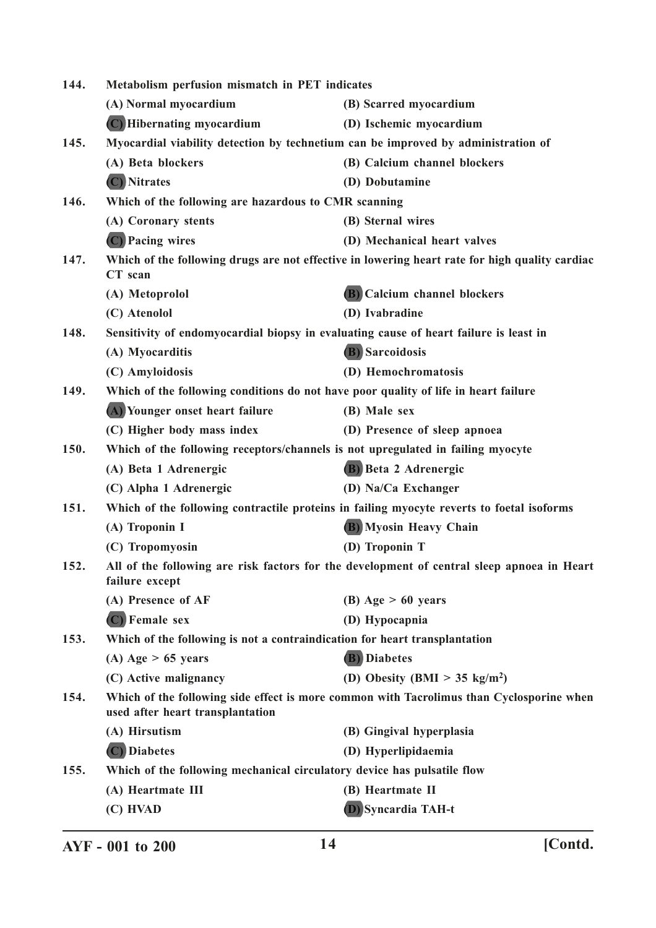| 144. | Metabolism perfusion mismatch in PET indicates                                                                               |                                                                                                |
|------|------------------------------------------------------------------------------------------------------------------------------|------------------------------------------------------------------------------------------------|
|      | (A) Normal myocardium                                                                                                        | (B) Scarred myocardium                                                                         |
|      | (C) Hibernating myocardium                                                                                                   | (D) Ischemic myocardium                                                                        |
| 145. | Myocardial viability detection by technetium can be improved by administration of                                            |                                                                                                |
|      | (A) Beta blockers                                                                                                            | (B) Calcium channel blockers                                                                   |
|      | (C) Nitrates                                                                                                                 | (D) Dobutamine                                                                                 |
| 146. | Which of the following are hazardous to CMR scanning                                                                         |                                                                                                |
|      | (A) Coronary stents                                                                                                          | (B) Sternal wires                                                                              |
|      | (C) Pacing wires                                                                                                             | (D) Mechanical heart valves                                                                    |
| 147. | CT scan                                                                                                                      | Which of the following drugs are not effective in lowering heart rate for high quality cardiac |
|      | (A) Metoprolol                                                                                                               | (B) Calcium channel blockers                                                                   |
|      | (C) Atenolol                                                                                                                 | (D) Ivabradine                                                                                 |
| 148. | Sensitivity of endomyocardial biopsy in evaluating cause of heart failure is least in                                        |                                                                                                |
|      | (A) Myocarditis                                                                                                              | <b>(B)</b> Sarcoidosis                                                                         |
|      | (C) Amyloidosis                                                                                                              | (D) Hemochromatosis                                                                            |
| 149. | Which of the following conditions do not have poor quality of life in heart failure                                          |                                                                                                |
|      | (A) Younger onset heart failure                                                                                              | (B) Male sex                                                                                   |
|      | (C) Higher body mass index                                                                                                   | (D) Presence of sleep apnoea                                                                   |
| 150. | Which of the following receptors/channels is not upregulated in failing myocyte                                              |                                                                                                |
|      | (A) Beta 1 Adrenergic                                                                                                        | (B) Beta 2 Adrenergic                                                                          |
|      | (C) Alpha 1 Adrenergic                                                                                                       | (D) Na/Ca Exchanger                                                                            |
| 151. |                                                                                                                              | Which of the following contractile proteins in failing myocyte reverts to foetal isoforms      |
|      | (A) Troponin I                                                                                                               | <b>B)</b> Myosin Heavy Chain                                                                   |
|      | (C) Tropomyosin                                                                                                              | (D) Troponin T                                                                                 |
| 152. | All of the following are risk factors for the development of central sleep apnoea in Heart<br>failure except                 |                                                                                                |
|      | (A) Presence of AF                                                                                                           | (B) Age $> 60$ years                                                                           |
|      | (C) Female sex                                                                                                               | (D) Hypocapnia                                                                                 |
| 153. | Which of the following is not a contraindication for heart transplantation                                                   |                                                                                                |
|      | (A) Age $> 65$ years                                                                                                         | <b>(B)</b> Diabetes                                                                            |
|      | (C) Active malignancy                                                                                                        | (D) Obesity (BMI $> 35 \text{ kg/m}^2$ )                                                       |
| 154. | Which of the following side effect is more common with Tacrolimus than Cyclosporine when<br>used after heart transplantation |                                                                                                |
|      | (A) Hirsutism                                                                                                                | (B) Gingival hyperplasia                                                                       |
|      | (C) Diabetes                                                                                                                 | (D) Hyperlipidaemia                                                                            |
| 155. | Which of the following mechanical circulatory device has pulsatile flow                                                      |                                                                                                |
|      | (A) Heartmate III                                                                                                            | (B) Heartmate II                                                                               |
|      | (C) HVAD                                                                                                                     | <b>D</b> ) Syncardia TAH-t                                                                     |
|      |                                                                                                                              |                                                                                                |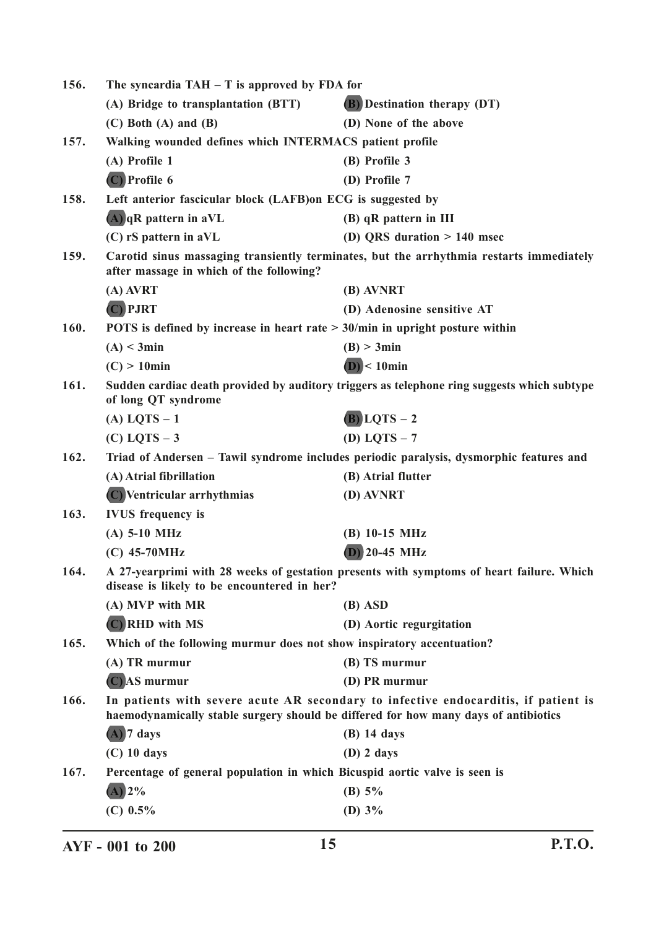| 156.                                                                                                                                        | The syncardia $TAH - T$ is approved by FDA for                                                                                          |                                                                                                                                                                            |
|---------------------------------------------------------------------------------------------------------------------------------------------|-----------------------------------------------------------------------------------------------------------------------------------------|----------------------------------------------------------------------------------------------------------------------------------------------------------------------------|
|                                                                                                                                             | (A) Bridge to transplantation (BTT)                                                                                                     | <b>(B)</b> Destination therapy (DT)                                                                                                                                        |
|                                                                                                                                             | $(C)$ Both $(A)$ and $(B)$                                                                                                              | (D) None of the above                                                                                                                                                      |
| 157.                                                                                                                                        | Walking wounded defines which INTERMACS patient profile                                                                                 |                                                                                                                                                                            |
|                                                                                                                                             | (A) Profile 1                                                                                                                           | (B) Profile 3                                                                                                                                                              |
|                                                                                                                                             | $(C)$ Profile 6                                                                                                                         | (D) Profile 7                                                                                                                                                              |
| 158.                                                                                                                                        | Left anterior fascicular block (LAFB) on ECG is suggested by                                                                            |                                                                                                                                                                            |
|                                                                                                                                             | $(A)$ qR pattern in aVL                                                                                                                 | (B) qR pattern in III                                                                                                                                                      |
|                                                                                                                                             | $(C)$ rS pattern in aVL                                                                                                                 | (D) QRS duration $> 140$ msec                                                                                                                                              |
| 159.<br>Carotid sinus massaging transiently terminates, but the arrhythmia restarts immediately<br>after massage in which of the following? |                                                                                                                                         |                                                                                                                                                                            |
|                                                                                                                                             | $(A)$ AVRT                                                                                                                              | (B) AVNRT                                                                                                                                                                  |
|                                                                                                                                             | (C) PJRT                                                                                                                                | (D) Adenosine sensitive AT                                                                                                                                                 |
| 160.                                                                                                                                        | POTS is defined by increase in heart rate $> 30$ /min in upright posture within                                                         |                                                                                                                                                                            |
|                                                                                                                                             | (A) < 3min                                                                                                                              | (B) > 3min                                                                                                                                                                 |
|                                                                                                                                             | $(C) > 10$ min                                                                                                                          | $(D)$ < 10 $min$                                                                                                                                                           |
| 161.                                                                                                                                        | of long QT syndrome                                                                                                                     | Sudden cardiac death provided by auditory triggers as telephone ring suggests which subtype                                                                                |
|                                                                                                                                             | $(A)$ LQTS $-1$                                                                                                                         | $(B)$ LQTS $-2$                                                                                                                                                            |
|                                                                                                                                             | $(C)$ LQTS $-3$                                                                                                                         | (D) LQTS $-7$                                                                                                                                                              |
| 162.                                                                                                                                        |                                                                                                                                         | Triad of Andersen - Tawil syndrome includes periodic paralysis, dysmorphic features and                                                                                    |
|                                                                                                                                             | (A) Atrial fibrillation                                                                                                                 | (B) Atrial flutter                                                                                                                                                         |
|                                                                                                                                             | (C) Ventricular arrhythmias                                                                                                             | (D) AVNRT                                                                                                                                                                  |
| 163.                                                                                                                                        | <b>IVUS</b> frequency is                                                                                                                |                                                                                                                                                                            |
|                                                                                                                                             | $(A)$ 5-10 MHz                                                                                                                          | $(B)$ 10-15 MHz                                                                                                                                                            |
|                                                                                                                                             | $(C)$ 45-70MHz                                                                                                                          | $(D)$ 20-45 MHz                                                                                                                                                            |
| 164.                                                                                                                                        | A 27-yearprimi with 28 weeks of gestation presents with symptoms of heart failure. Which<br>disease is likely to be encountered in her? |                                                                                                                                                                            |
|                                                                                                                                             | (A) MVP with MR                                                                                                                         | (B) ASD                                                                                                                                                                    |
|                                                                                                                                             | (C) RHD with MS                                                                                                                         | (D) Aortic regurgitation                                                                                                                                                   |
| 165.                                                                                                                                        | Which of the following murmur does not show inspiratory accentuation?                                                                   |                                                                                                                                                                            |
|                                                                                                                                             | (A) TR murmur                                                                                                                           | (B) TS murmur                                                                                                                                                              |
|                                                                                                                                             | $(C)$ AS murmur                                                                                                                         | (D) PR murmur                                                                                                                                                              |
| 166.                                                                                                                                        |                                                                                                                                         | In patients with severe acute AR secondary to infective endocarditis, if patient is<br>haemodynamically stable surgery should be differed for how many days of antibiotics |
|                                                                                                                                             | $(A)$ 7 days                                                                                                                            | $(B)$ 14 days                                                                                                                                                              |
|                                                                                                                                             | $(C)$ 10 days                                                                                                                           | $(D)$ 2 days                                                                                                                                                               |
| 167.                                                                                                                                        | Percentage of general population in which Bicuspid aortic valve is seen is                                                              |                                                                                                                                                                            |
|                                                                                                                                             | $(A)$ 2%                                                                                                                                | (B) $5\%$                                                                                                                                                                  |
|                                                                                                                                             | (C) $0.5\%$                                                                                                                             | (D) $3\%$                                                                                                                                                                  |
|                                                                                                                                             |                                                                                                                                         |                                                                                                                                                                            |

**AYF - 001 to 200 15 P.T.O.**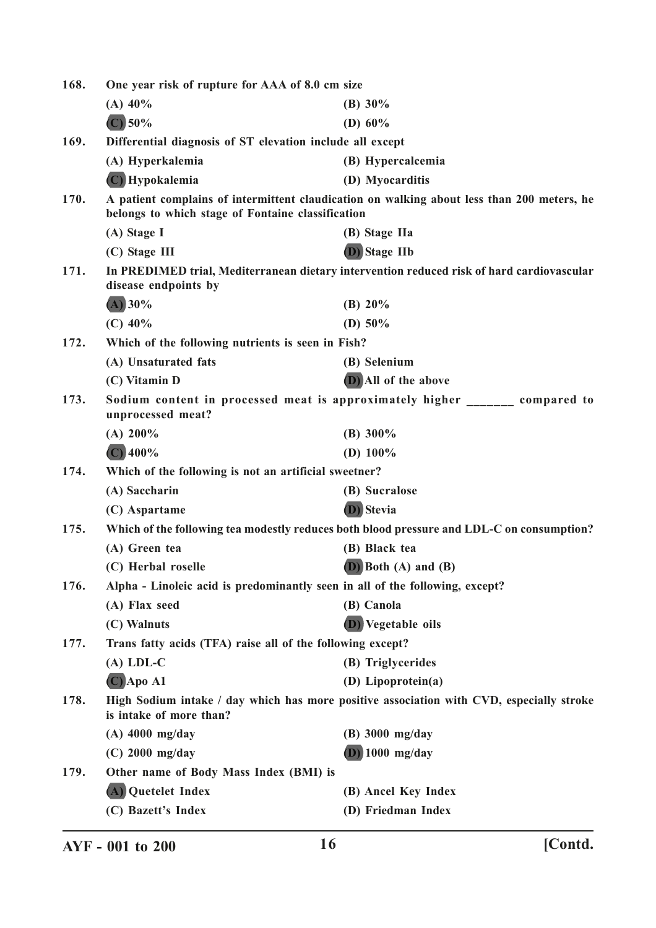| 168. | One year risk of rupture for AAA of 8.0 cm size                                                                     |                                                                                            |  |
|------|---------------------------------------------------------------------------------------------------------------------|--------------------------------------------------------------------------------------------|--|
|      | $(A)$ 40%                                                                                                           | (B) $30\%$                                                                                 |  |
|      | $(C)$ 50%                                                                                                           | (D) $60\%$                                                                                 |  |
| 169. | Differential diagnosis of ST elevation include all except                                                           |                                                                                            |  |
|      | (A) Hyperkalemia                                                                                                    | (B) Hypercalcemia                                                                          |  |
|      | (C) Hypokalemia                                                                                                     | (D) Myocarditis                                                                            |  |
| 170. | belongs to which stage of Fontaine classification                                                                   | A patient complains of intermittent claudication on walking about less than 200 meters, he |  |
|      | (A) Stage I                                                                                                         | (B) Stage IIa                                                                              |  |
|      | (C) Stage III                                                                                                       | (D) Stage IIb                                                                              |  |
| 171. | In PREDIMED trial, Mediterranean dietary intervention reduced risk of hard cardiovascular<br>disease endpoints by   |                                                                                            |  |
|      | $(A)$ 30%                                                                                                           | (B) $20\%$                                                                                 |  |
|      | $(C)$ 40%                                                                                                           | (D) $50\%$                                                                                 |  |
| 172. | Which of the following nutrients is seen in Fish?                                                                   |                                                                                            |  |
|      | (A) Unsaturated fats                                                                                                | (B) Selenium                                                                               |  |
|      | (C) Vitamin D                                                                                                       | (D) All of the above                                                                       |  |
| 173. | unprocessed meat?                                                                                                   | Sodium content in processed meat is approximately higher ________ compared to              |  |
|      | (A) 200%                                                                                                            | (B) $300\%$                                                                                |  |
|      | $(C)$ 400%                                                                                                          | (D) $100\%$                                                                                |  |
| 174. | Which of the following is not an artificial sweetner?                                                               |                                                                                            |  |
|      | (A) Saccharin                                                                                                       | (B) Sucralose                                                                              |  |
|      | (C) Aspartame                                                                                                       | (D) Stevia                                                                                 |  |
| 175. |                                                                                                                     | Which of the following tea modestly reduces both blood pressure and LDL-C on consumption?  |  |
|      | (A) Green tea                                                                                                       | (B) Black tea                                                                              |  |
|      | (C) Herbal roselle                                                                                                  | $(D)$ Both $(A)$ and $(B)$                                                                 |  |
| 176. | Alpha - Linoleic acid is predominantly seen in all of the following, except?                                        |                                                                                            |  |
|      | (A) Flax seed                                                                                                       | (B) Canola                                                                                 |  |
|      | (C) Walnuts                                                                                                         | <b>(D)</b> Vegetable oils                                                                  |  |
| 177. | Trans fatty acids (TFA) raise all of the following except?                                                          |                                                                                            |  |
|      | $(A)$ LDL-C                                                                                                         | (B) Triglycerides                                                                          |  |
|      | $(C)$ Apo A1                                                                                                        | (D) Lipoprotein(a)                                                                         |  |
| 178. | High Sodium intake / day which has more positive association with CVD, especially stroke<br>is intake of more than? |                                                                                            |  |
|      | $(A)$ 4000 mg/day                                                                                                   | $(B)$ 3000 mg/day                                                                          |  |
|      | $(C)$ 2000 mg/day                                                                                                   | $(D)$ 1000 mg/day                                                                          |  |
| 179. | Other name of Body Mass Index (BMI) is                                                                              |                                                                                            |  |
|      | (A) Quetelet Index                                                                                                  | (B) Ancel Key Index                                                                        |  |
|      | (C) Bazett's Index                                                                                                  | (D) Friedman Index                                                                         |  |
|      |                                                                                                                     |                                                                                            |  |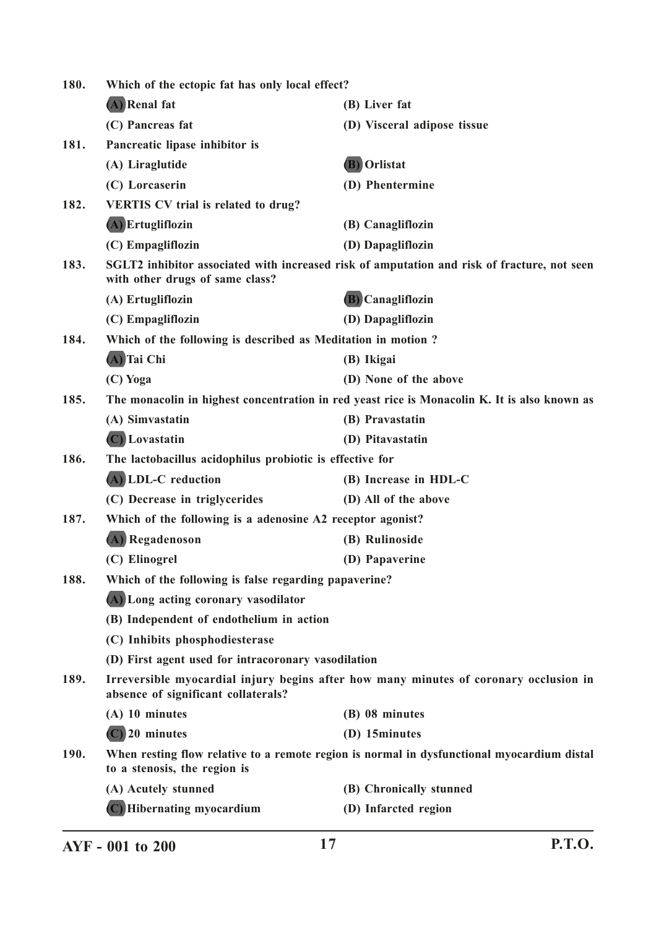| 180. | Which of the ectopic fat has only local effect?              |                                                                                              |
|------|--------------------------------------------------------------|----------------------------------------------------------------------------------------------|
|      | (A) Renal fat                                                | (B) Liver fat                                                                                |
|      | (C) Pancreas fat                                             | (D) Visceral adipose tissue                                                                  |
| 181. | Pancreatic lipase inhibitor is                               |                                                                                              |
|      | (A) Liraglutide                                              | <b>(B)</b> Orlistat                                                                          |
|      | (C) Lorcaserin                                               | (D) Phentermine                                                                              |
| 182. | <b>VERTIS CV trial is related to drug?</b>                   |                                                                                              |
|      | (A) Ertugliflozin                                            | (B) Canagliflozin                                                                            |
|      | (C) Empagliflozin                                            | (D) Dapagliflozin                                                                            |
| 183. | with other drugs of same class?                              | SGLT2 inhibitor associated with increased risk of amputation and risk of fracture, not seen  |
|      | (A) Ertugliflozin                                            | <b>(B)</b> Canagliflozin                                                                     |
|      | (C) Empagliflozin                                            | (D) Dapagliflozin                                                                            |
| 184. | Which of the following is described as Meditation in motion? |                                                                                              |
|      | (A) Tai Chi                                                  | (B) Ikigai                                                                                   |
|      | (C) Yoga                                                     | (D) None of the above                                                                        |
| 185. |                                                              | The monacolin in highest concentration in red yeast rice is Monacolin K. It is also known as |
|      | (A) Simvastatin                                              | (B) Pravastatin                                                                              |
|      | (C) Lovastatin                                               | (D) Pitavastatin                                                                             |
| 186. | The lactobacillus acidophilus probiotic is effective for     |                                                                                              |
|      | (A) LDL-C reduction                                          | (B) Increase in HDL-C                                                                        |
|      | (C) Decrease in triglycerides                                | (D) All of the above                                                                         |
| 187. | Which of the following is a adenosine A2 receptor agonist?   |                                                                                              |
|      | (A) Regadenoson                                              | (B) Rulinoside                                                                               |
|      | (C) Elinogrel                                                | (D) Papaverine                                                                               |
| 188. | Which of the following is false regarding papaverine?        |                                                                                              |
|      | (A) Long acting coronary vasodilator                         |                                                                                              |
|      | (B) Independent of endothelium in action                     |                                                                                              |
|      | (C) Inhibits phosphodiesterase                               |                                                                                              |
|      | (D) First agent used for intracoronary vasodilation          |                                                                                              |
| 189. | absence of significant collaterals?                          | Irreversible myocardial injury begins after how many minutes of coronary occlusion in        |
|      | $(A)$ 10 minutes                                             | (B) 08 minutes                                                                               |
|      | $(C)$ 20 minutes                                             | (D) 15minutes                                                                                |
| 190. | to a stenosis, the region is                                 | When resting flow relative to a remote region is normal in dysfunctional myocardium distal   |
|      | (A) Acutely stunned                                          | (B) Chronically stunned                                                                      |
|      | (C) Hibernating myocardium                                   | (D) Infarcted region                                                                         |